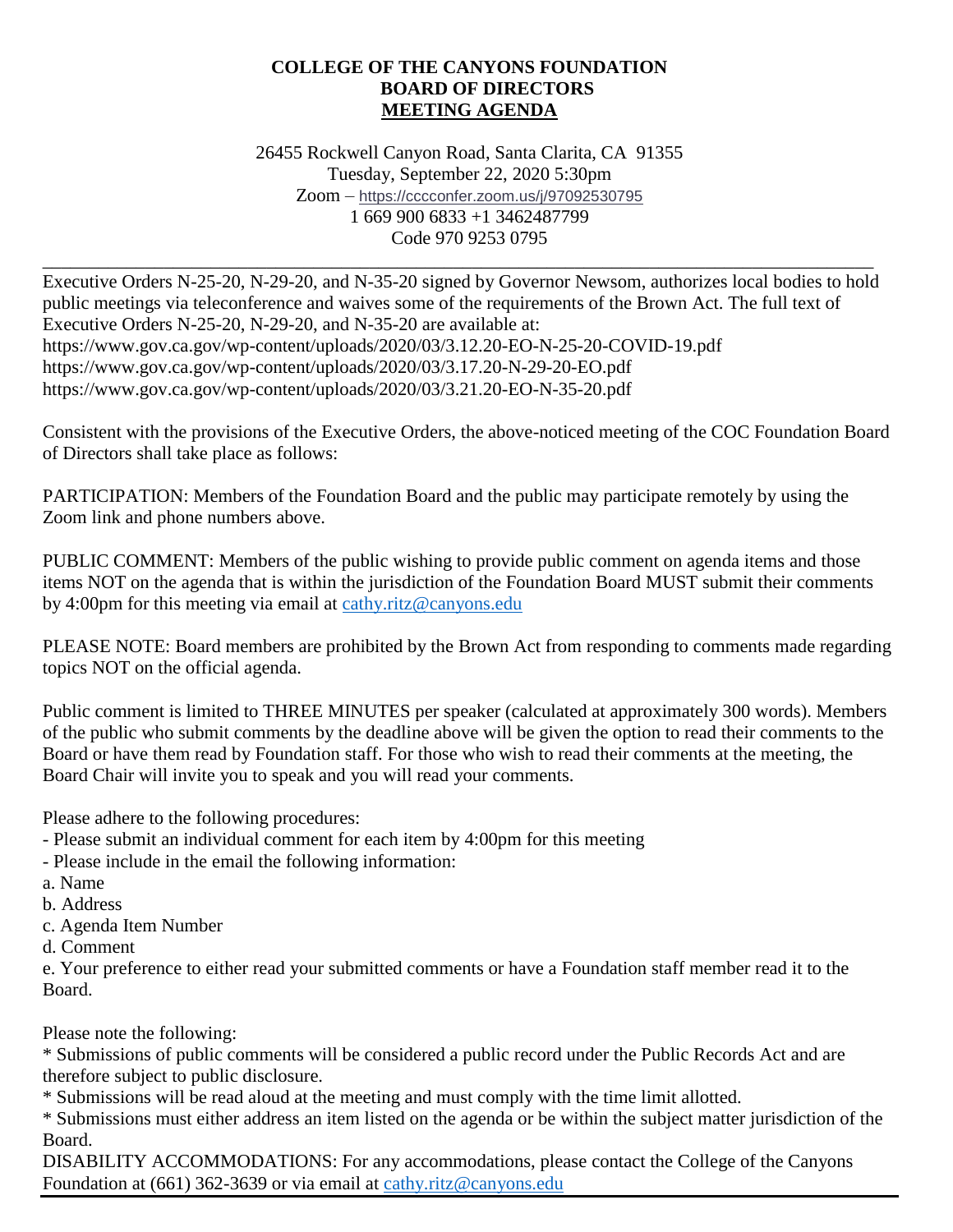#### **COLLEGE OF THE CANYONS FOUNDATION BOARD OF DIRECTORS MEETING AGENDA**

26455 Rockwell Canyon Road, Santa Clarita, CA 91355 Tuesday, September 22, 2020 5:30pm Zoom – <https://cccconfer.zoom.us/j/97092530795> 1 669 900 6833 +1 3462487799 Code 970 9253 0795

Executive Orders N-25-20, N-29-20, and N-35-20 signed by Governor Newsom, authorizes local bodies to hold public meetings via teleconference and waives some of the requirements of the Brown Act. The full text of Executive Orders N-25-20, N-29-20, and N-35-20 are available at: https://www.gov.ca.gov/wp-content/uploads/2020/03/3.12.20-EO-N-25-20-COVID-19.pdf https://www.gov.ca.gov/wp-content/uploads/2020/03/3.17.20-N-29-20-EO.pdf https://www.gov.ca.gov/wp-content/uploads/2020/03/3.21.20-EO-N-35-20.pdf

\_\_\_\_\_\_\_\_\_\_\_\_\_\_\_\_\_\_\_\_\_\_\_\_\_\_\_\_\_\_\_\_\_\_\_\_\_\_\_\_\_\_\_\_\_\_\_\_\_\_\_\_\_\_\_\_\_\_\_\_\_\_\_\_\_\_\_\_\_\_\_\_\_\_\_\_\_\_\_\_\_\_\_\_\_\_\_\_\_

Consistent with the provisions of the Executive Orders, the above-noticed meeting of the COC Foundation Board of Directors shall take place as follows:

PARTICIPATION: Members of the Foundation Board and the public may participate remotely by using the Zoom link and phone numbers above.

PUBLIC COMMENT: Members of the public wishing to provide public comment on agenda items and those items NOT on the agenda that is within the jurisdiction of the Foundation Board MUST submit their comments by 4:00pm for this meeting via email at [cathy.ritz@canyons.edu](mailto:cathy.ritz@canyons.edu)

PLEASE NOTE: Board members are prohibited by the Brown Act from responding to comments made regarding topics NOT on the official agenda.

Public comment is limited to THREE MINUTES per speaker (calculated at approximately 300 words). Members of the public who submit comments by the deadline above will be given the option to read their comments to the Board or have them read by Foundation staff. For those who wish to read their comments at the meeting, the Board Chair will invite you to speak and you will read your comments.

Please adhere to the following procedures:

- Please submit an individual comment for each item by 4:00pm for this meeting
- Please include in the email the following information:
- a. Name
- b. Address
- c. Agenda Item Number
- d. Comment

e. Your preference to either read your submitted comments or have a Foundation staff member read it to the Board.

Please note the following:

\* Submissions of public comments will be considered a public record under the Public Records Act and are therefore subject to public disclosure.

\* Submissions will be read aloud at the meeting and must comply with the time limit allotted.

\* Submissions must either address an item listed on the agenda or be within the subject matter jurisdiction of the Board.

DISABILITY ACCOMMODATIONS: For any accommodations, please contact the College of the Canyons Foundation at (661) 362-3639 or via email at [cathy.ritz@canyons.edu](mailto:cathy.ritz@canyons.edu)